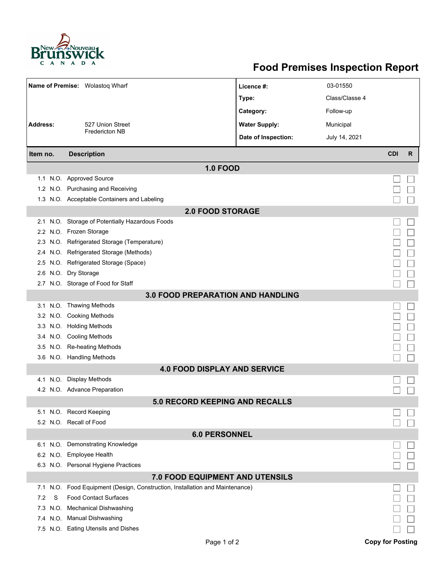

## **Food Premises Inspection Report**

| Name of Premise: Wolastoq Wharf<br>03-01550<br>Licence #: |                                                                          |                      |                |            |              |  |  |  |
|-----------------------------------------------------------|--------------------------------------------------------------------------|----------------------|----------------|------------|--------------|--|--|--|
|                                                           |                                                                          |                      |                |            |              |  |  |  |
|                                                           |                                                                          | Type:                | Class/Classe 4 |            |              |  |  |  |
|                                                           |                                                                          | Category:            | Follow-up      |            |              |  |  |  |
| <b>Address:</b>                                           | 527 Union Street<br><b>Fredericton NB</b>                                | <b>Water Supply:</b> | Municipal      |            |              |  |  |  |
|                                                           |                                                                          | Date of Inspection:  | July 14, 2021  |            |              |  |  |  |
| Item no.                                                  | <b>Description</b>                                                       |                      |                | <b>CDI</b> | $\mathsf{R}$ |  |  |  |
| <b>1.0 FOOD</b>                                           |                                                                          |                      |                |            |              |  |  |  |
|                                                           | 1.1 N.O. Approved Source                                                 |                      |                |            |              |  |  |  |
|                                                           | 1.2 N.O. Purchasing and Receiving                                        |                      |                |            |              |  |  |  |
|                                                           | 1.3 N.O. Acceptable Containers and Labeling                              |                      |                |            |              |  |  |  |
| <b>2.0 FOOD STORAGE</b>                                   |                                                                          |                      |                |            |              |  |  |  |
|                                                           | 2.1 N.O. Storage of Potentially Hazardous Foods                          |                      |                |            |              |  |  |  |
|                                                           | 2.2 N.O. Frozen Storage                                                  |                      |                |            |              |  |  |  |
|                                                           | 2.3 N.O. Refrigerated Storage (Temperature)                              |                      |                |            |              |  |  |  |
|                                                           | 2.4 N.O. Refrigerated Storage (Methods)                                  |                      |                |            |              |  |  |  |
|                                                           | 2.5 N.O. Refrigerated Storage (Space)                                    |                      |                |            |              |  |  |  |
|                                                           | 2.6 N.O. Dry Storage                                                     |                      |                |            |              |  |  |  |
|                                                           | 2.7 N.O. Storage of Food for Staff                                       |                      |                |            |              |  |  |  |
|                                                           | <b>3.0 FOOD PREPARATION AND HANDLING</b>                                 |                      |                |            |              |  |  |  |
|                                                           | 3.1 N.O. Thawing Methods                                                 |                      |                |            |              |  |  |  |
|                                                           | 3.2 N.O. Cooking Methods                                                 |                      |                |            |              |  |  |  |
|                                                           | 3.3 N.O. Holding Methods                                                 |                      |                |            |              |  |  |  |
|                                                           | 3.4 N.O. Cooling Methods                                                 |                      |                |            |              |  |  |  |
|                                                           | 3.5 N.O. Re-heating Methods                                              |                      |                |            |              |  |  |  |
|                                                           | 3.6 N.O. Handling Methods                                                |                      |                |            |              |  |  |  |
|                                                           | <b>4.0 FOOD DISPLAY AND SERVICE</b>                                      |                      |                |            |              |  |  |  |
|                                                           | 4.1 N.O. Display Methods                                                 |                      |                |            |              |  |  |  |
|                                                           | 4.2 N.O. Advance Preparation                                             |                      |                |            |              |  |  |  |
|                                                           | <b>5.0 RECORD KEEPING AND RECALLS</b>                                    |                      |                |            |              |  |  |  |
|                                                           | 5.1 N.O. Record Keeping                                                  |                      |                |            |              |  |  |  |
|                                                           | 5.2 N.O. Recall of Food                                                  |                      |                |            |              |  |  |  |
| <b>6.0 PERSONNEL</b>                                      |                                                                          |                      |                |            |              |  |  |  |
|                                                           | 6.1 N.O. Demonstrating Knowledge                                         |                      |                |            |              |  |  |  |
|                                                           | 6.2 N.O. Employee Health                                                 |                      |                |            |              |  |  |  |
|                                                           | 6.3 N.O. Personal Hygiene Practices                                      |                      |                |            |              |  |  |  |
| 7.0 FOOD EQUIPMENT AND UTENSILS                           |                                                                          |                      |                |            |              |  |  |  |
| 7.1                                                       | N.O. Food Equipment (Design, Construction, Installation and Maintenance) |                      |                |            |              |  |  |  |
| S<br>7.2                                                  | <b>Food Contact Surfaces</b>                                             |                      |                |            |              |  |  |  |
| 7.3<br>N.O.                                               | <b>Mechanical Dishwashing</b>                                            |                      |                |            |              |  |  |  |
|                                                           | 7.4 N.O. Manual Dishwashing                                              |                      |                |            |              |  |  |  |
|                                                           | 7.5 N.O. Eating Utensils and Dishes                                      |                      |                |            |              |  |  |  |